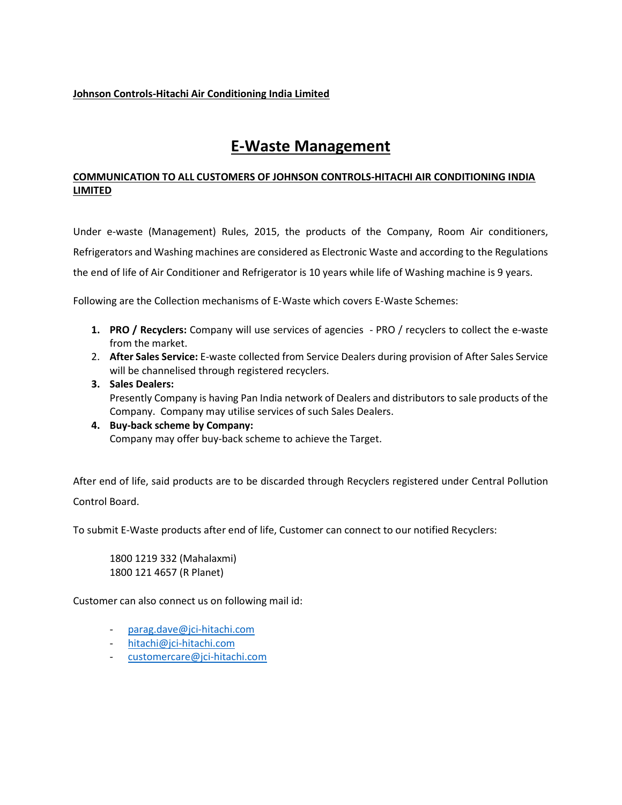## Johnson Controls-Hitachi Air Conditioning India Limited

## E-Waste Management

## COMMUNICATION TO ALL CUSTOMERS OF JOHNSON CONTROLS-HITACHI AIR CONDITIONING INDIA LIMITED

Under e-waste (Management) Rules, 2015, the products of the Company, Room Air conditioners, Refrigerators and Washing machines are considered as Electronic Waste and according to the Regulations the end of life of Air Conditioner and Refrigerator is 10 years while life of Washing machine is 9 years.

Following are the Collection mechanisms of E-Waste which covers E-Waste Schemes:

- 1. PRO / Recyclers: Company will use services of agencies PRO / recyclers to collect the e-waste from the market.
- 2. After Sales Service: E-waste collected from Service Dealers during provision of After Sales Service will be channelised through registered recyclers.
- 3. Sales Dealers: Presently Company is having Pan India network of Dealers and distributors to sale products of the Company. Company may utilise services of such Sales Dealers.
- 4. Buy-back scheme by Company: Company may offer buy-back scheme to achieve the Target.

After end of life, said products are to be discarded through Recyclers registered under Central Pollution Control Board.

To submit E-Waste products after end of life, Customer can connect to our notified Recyclers:

1800 1219 332 (Mahalaxmi) 1800 121 4657 (R Planet)

Customer can also connect us on following mail id:

- parag.dave@jci-hitachi.com
- hitachi@jci-hitachi.com
- customercare@jci-hitachi.com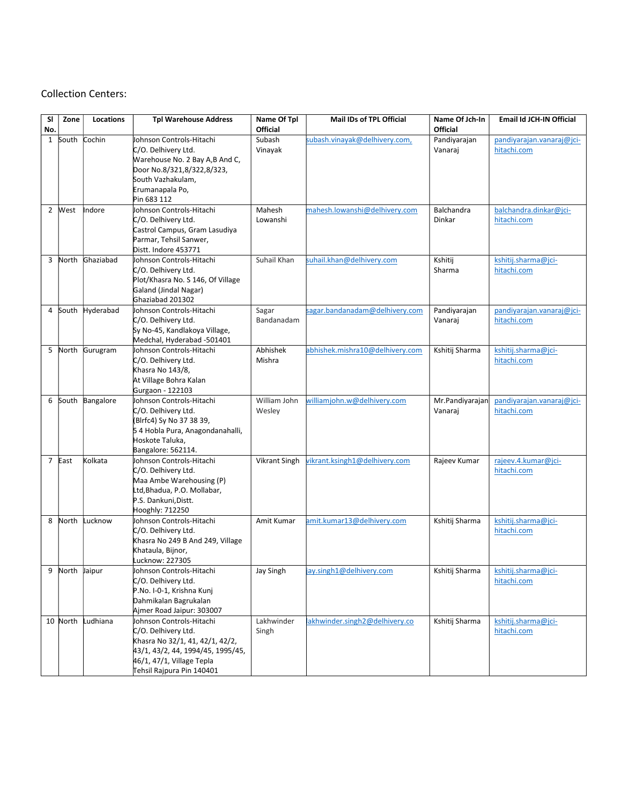## Collection Centers:

| SI<br>No.      | Zone           | Locations | <b>Tpl Warehouse Address</b>                                                                                                                                                      | Name Of Tpl<br><b>Official</b> | Mail IDs of TPL Official        | Name Of Jch-In<br>Official | Email Id JCH-IN Official                 |
|----------------|----------------|-----------|-----------------------------------------------------------------------------------------------------------------------------------------------------------------------------------|--------------------------------|---------------------------------|----------------------------|------------------------------------------|
| $\mathbf{1}$   | South          | Cochin    | Johnson Controls-Hitachi<br>C/O. Delhivery Ltd.<br>Warehouse No. 2 Bay A,B And C,<br>Door No.8/321,8/322,8/323,<br>South Vazhakulam,<br>Erumanapala Po,<br>Pin 683 112            | Subash<br>Vinayak              | subash.vinayak@delhivery.com,   | Pandiyarajan<br>Vanaraj    | pandiyarajan.vanaraj@jci-<br>hitachi.com |
| $\overline{2}$ | West           | Indore    | Johnson Controls-Hitachi<br>C/O. Delhivery Ltd.<br>Castrol Campus, Gram Lasudiya<br>Parmar, Tehsil Sanwer,<br>Distt. Indore 453771                                                | Mahesh<br>Lowanshi             | mahesh.lowanshi@delhivery.com   | Balchandra<br>Dinkar       | balchandra.dinkar@jci-<br>hitachi.com    |
| 3              | North          | Ghaziabad | Johnson Controls-Hitachi<br>C/O. Delhivery Ltd.<br>Plot/Khasra No. S 146, Of Village<br>Galand (Jindal Nagar)<br>Ghaziabad 201302                                                 | Suhail Khan                    | suhail.khan@delhivery.com       | Kshitij<br>Sharma          | kshitij.sharma@jci-<br>hitachi.com       |
| 4              | South          | Hyderabad | Johnson Controls-Hitachi<br>C/O. Delhivery Ltd.<br>Sy No-45, Kandlakoya Village,<br>Medchal, Hyderabad -501401                                                                    | Sagar<br>Bandanadam            | sagar.bandanadam@delhivery.com  | Pandiyarajan<br>Vanaraj    | pandiyarajan.vanaraj@jci-<br>hitachi.com |
| 5              | North          | Gurugram  | Johnson Controls-Hitachi<br>C/O. Delhivery Ltd.<br>Khasra No 143/8,<br>At Village Bohra Kalan<br>Gurgaon - 122103                                                                 | Abhishek<br>Mishra             | abhishek.mishra10@delhivery.com | Kshitij Sharma             | kshitij.sharma@jci-<br>hitachi.com       |
| 6              | South          | Bangalore | Johnson Controls-Hitachi<br>C/O. Delhivery Ltd.<br>(Blrfc4) Sy No 37 38 39,<br>54 Hobla Pura, Anagondanahalli,<br>Hoskote Taluka,<br>Bangalore: 562114.                           | William John<br>Wesley         | williamjohn.w@delhivery.com     | Mr.Pandiyarajan<br>Vanaraj | pandiyarajan.vanaraj@jci-<br>hitachi.com |
|                | 7 East         | Kolkata   | Johnson Controls-Hitachi<br>C/O. Delhivery Ltd.<br>Maa Ambe Warehousing (P)<br>Ltd, Bhadua, P.O. Mollabar,<br>P.S. Dankuni, Distt.<br>Hooghly: 712250                             | Vikrant Singh                  | vikrant.ksingh1@delhivery.com   | Rajeev Kumar               | rajeev.4.kumar@jci-<br>hitachi.com       |
| 8              | North          | Lucknow   | Johnson Controls-Hitachi<br>C/O. Delhivery Ltd.<br>Khasra No 249 B And 249, Village<br>Khataula, Bijnor,<br>Lucknow: 227305                                                       | Amit Kumar                     | amit.kumar13@delhivery.com      | Kshitij Sharma             | kshitij.sharma@jci-<br>hitachi.com       |
|                | 9 North Jaipur |           | Johnson Controls-Hitachi<br>C/O. Delhivery Ltd.<br>P.No. I-0-1, Krishna Kunj<br>Dahmikalan Bagrukalan<br>Ajmer Road Jaipur: 303007                                                | Jay Singh                      | jay.singh1@delhivery.com        | Kshitij Sharma             | kshitij.sharma@jci-<br>hitachi.com       |
|                | 10 North       | Ludhiana  | Johnson Controls-Hitachi<br>C/O. Delhivery Ltd.<br>Khasra No 32/1, 41, 42/1, 42/2,<br>43/1, 43/2, 44, 1994/45, 1995/45,<br>46/1, 47/1, Village Tepla<br>Tehsil Rajpura Pin 140401 | Lakhwinder<br>Singh            | akhwinder.singh2@delhivery.co   | Kshitij Sharma             | kshitij.sharma@jci-<br>hitachi.com       |